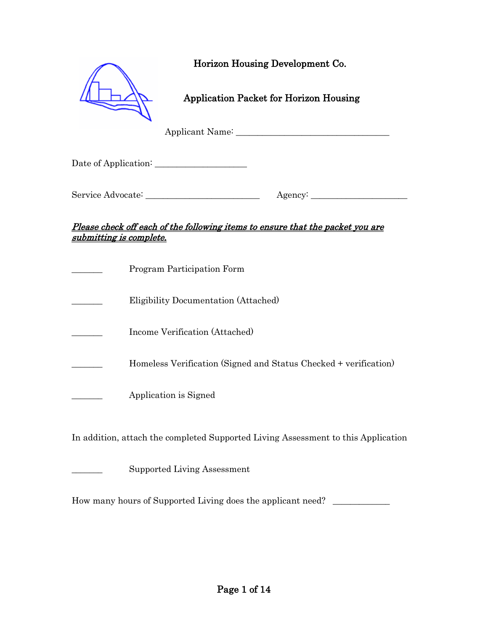|                        | Horizon Housing Development Co.               |
|------------------------|-----------------------------------------------|
|                        | <b>Application Packet for Horizon Housing</b> |
|                        | Applicant Name:                               |
| Date of Application: _ |                                               |

| Service Advocate: | Agency: |
|-------------------|---------|
|-------------------|---------|

#### Please check off each of the following items to ensure that the packet you are submitting is complete.

| Program Participation Form                                       |
|------------------------------------------------------------------|
| Eligibility Documentation (Attached)                             |
| Income Verification (Attached)                                   |
| Homeless Verification (Signed and Status Checked + verification) |
| Application is Signed                                            |
|                                                                  |

In addition, attach the completed Supported Living Assessment to this Application

\_\_\_\_\_\_\_ Supported Living Assessment

How many hours of Supported Living does the applicant need? \_\_\_\_\_\_\_\_\_\_\_\_\_\_\_\_\_\_\_\_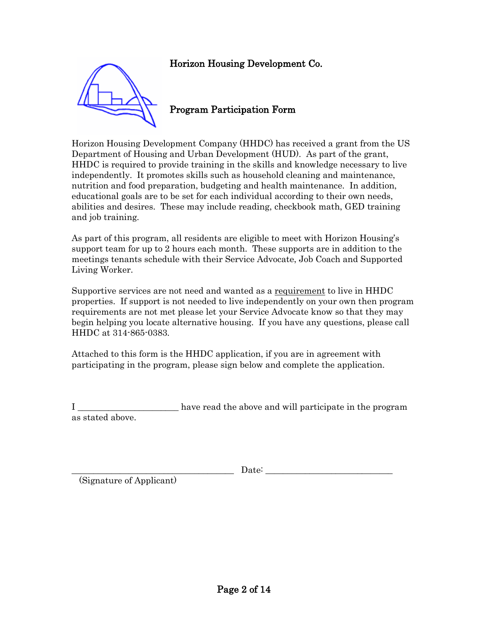

### Program Participation Form

Horizon Housing Development Company (HHDC) has received a grant from the US Department of Housing and Urban Development (HUD). As part of the grant, HHDC is required to provide training in the skills and knowledge necessary to live independently. It promotes skills such as household cleaning and maintenance, nutrition and food preparation, budgeting and health maintenance. In addition, educational goals are to be set for each individual according to their own needs, abilities and desires. These may include reading, checkbook math, GED training and job training.

As part of this program, all residents are eligible to meet with Horizon Housing's support team for up to 2 hours each month. These supports are in addition to the meetings tenants schedule with their Service Advocate, Job Coach and Supported Living Worker.

Supportive services are not need and wanted as a requirement to live in HHDC properties. If support is not needed to live independently on your own then program requirements are not met please let your Service Advocate know so that they may begin helping you locate alternative housing. If you have any questions, please call HHDC at 314-865-0383.

Attached to this form is the HHDC application, if you are in agreement with participating in the program, please sign below and complete the application.

I \_\_\_\_\_\_\_\_\_\_\_\_\_\_\_\_\_\_\_\_\_\_\_\_\_ have read the above and will participate in the program as stated above.

(Signature of Applicant)

 $\text{Date:}$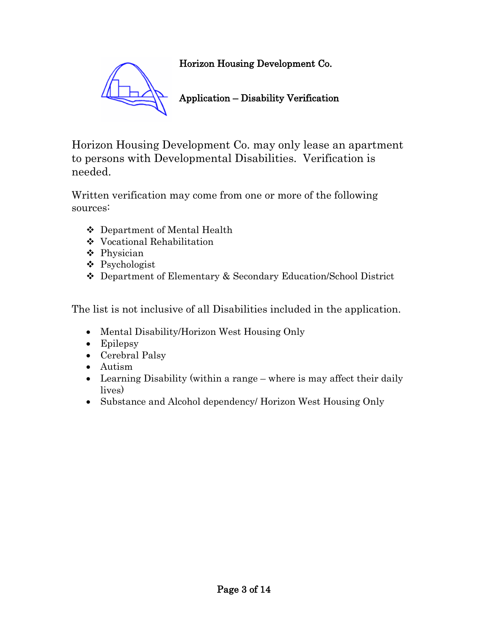

## Application – Disability Verification

Horizon Housing Development Co. may only lease an apartment to persons with Developmental Disabilities. Verification is needed.

Written verification may come from one or more of the following sources:

- Department of Mental Health
- Vocational Rehabilitation
- Physician
- Psychologist
- Department of Elementary & Secondary Education/School District

The list is not inclusive of all Disabilities included in the application.

- Mental Disability/Horizon West Housing Only
- Epilepsy
- Cerebral Palsy
- Autism
- Learning Disability (within a range where is may affect their daily lives)
- Substance and Alcohol dependency/ Horizon West Housing Only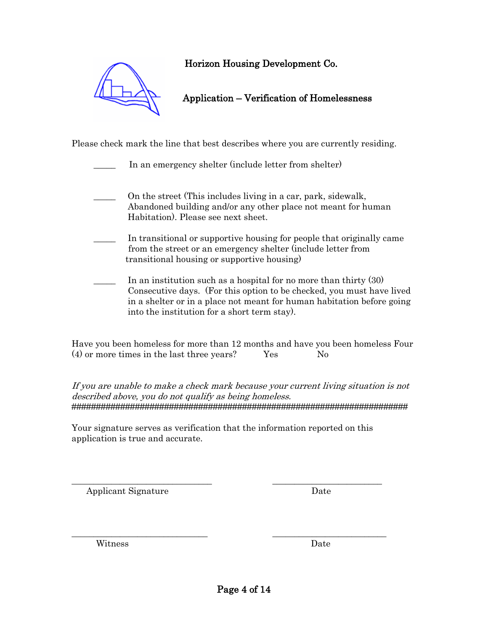

Please check mark the line that best describes where you are currently residing.

| In an emergency shelter (include letter from shelter) |  |  |
|-------------------------------------------------------|--|--|
|                                                       |  |  |

- \_\_\_\_\_ On the street (This includes living in a car, park, sidewalk, Abandoned building and/or any other place not meant for human Habitation). Please see next sheet.
- In transitional or supportive housing for people that originally came from the street or an emergency shelter (include letter from transitional housing or supportive housing)
- In an institution such as a hospital for no more than thirty  $(30)$  Consecutive days. (For this option to be checked, you must have lived in a shelter or in a place not meant for human habitation before going into the institution for a short term stay).

Have you been homeless for more than 12 months and have you been homeless Four  $(4)$  or more times in the last three years? Yes No

If you are unable to make a check mark because your current living situation is not described above, you do not qualify as being homeless. #####################################################################

Your signature serves as verification that the information reported on this application is true and accurate.

\_\_\_\_\_\_\_\_\_\_\_\_\_\_\_\_\_\_\_\_\_\_\_\_\_\_\_\_\_\_\_\_ \_\_\_\_\_\_\_\_\_\_\_\_\_\_\_\_\_\_\_\_\_\_\_\_\_

Applicant Signature Date

Witness Date

\_\_\_\_\_\_\_\_\_\_\_\_\_\_\_\_\_\_\_\_\_\_\_\_\_\_\_\_\_\_\_ \_\_\_\_\_\_\_\_\_\_\_\_\_\_\_\_\_\_\_\_\_\_\_\_\_\_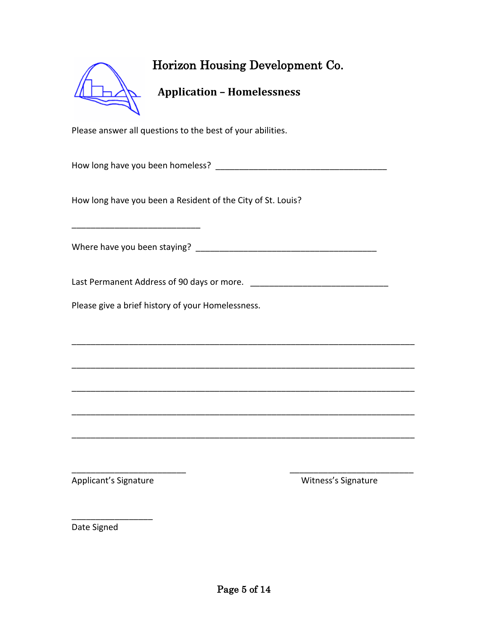| $\iota$ |  |
|---------|--|
|         |  |

## **Application – Homelessness**

Please answer all questions to the best of your abilities.

How long have you been homeless? **Example 10** 

How long have you been a Resident of the City of St. Louis?

Where have you been staying? \_\_\_\_\_\_\_\_\_\_\_\_\_\_\_\_\_\_\_\_\_\_\_\_\_\_\_\_\_\_\_\_\_\_\_\_\_\_

\_\_\_\_\_\_\_\_\_\_\_\_\_\_\_\_\_\_\_\_\_\_\_\_\_\_\_

Last Permanent Address of 90 days or more. \_\_\_\_\_\_\_\_\_\_\_\_\_\_\_\_\_\_\_\_\_\_\_\_\_\_\_\_\_

\_\_\_\_\_\_\_\_\_\_\_\_\_\_\_\_\_\_\_\_\_\_\_\_\_\_\_\_\_\_\_\_\_\_\_\_\_\_\_\_\_\_\_\_\_\_\_\_\_\_\_\_\_\_\_\_\_\_\_\_\_\_\_\_\_\_\_\_\_\_\_\_

\_\_\_\_\_\_\_\_\_\_\_\_\_\_\_\_\_\_\_\_\_\_\_\_\_\_\_\_\_\_\_\_\_\_\_\_\_\_\_\_\_\_\_\_\_\_\_\_\_\_\_\_\_\_\_\_\_\_\_\_\_\_\_\_\_\_\_\_\_\_\_\_

\_\_\_\_\_\_\_\_\_\_\_\_\_\_\_\_\_\_\_\_\_\_\_\_\_\_\_\_\_\_\_\_\_\_\_\_\_\_\_\_\_\_\_\_\_\_\_\_\_\_\_\_\_\_\_\_\_\_\_\_\_\_\_\_\_\_\_\_\_\_\_\_

\_\_\_\_\_\_\_\_\_\_\_\_\_\_\_\_\_\_\_\_\_\_\_\_\_\_\_\_\_\_\_\_\_\_\_\_\_\_\_\_\_\_\_\_\_\_\_\_\_\_\_\_\_\_\_\_\_\_\_\_\_\_\_\_\_\_\_\_\_\_\_\_

\_\_\_\_\_\_\_\_\_\_\_\_\_\_\_\_\_\_\_\_\_\_\_\_\_\_\_\_\_\_\_\_\_\_\_\_\_\_\_\_\_\_\_\_\_\_\_\_\_\_\_\_\_\_\_\_\_\_\_\_\_\_\_\_\_\_\_\_\_\_\_\_

\_\_\_\_\_\_\_\_\_\_\_\_\_\_\_\_\_\_\_\_\_\_\_\_ \_\_\_\_\_\_\_\_\_\_\_\_\_\_\_\_\_\_\_\_\_\_\_\_\_\_

Please give a brief history of your Homelessness.

Applicant's Signature Microsoft Communications and Microsoft Communications and Microsoft Communications and Microsoft Communications and Microsoft Communications and Microsoft Communications and Microsoft Communications a

\_\_\_\_\_\_\_\_\_\_\_\_\_\_\_\_\_

Date Signed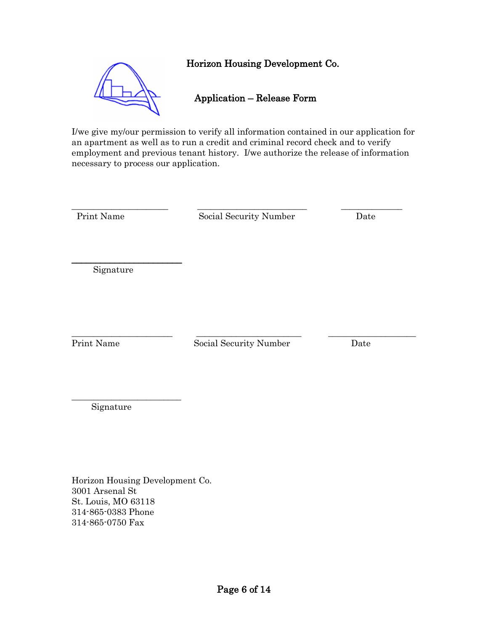

I/we give my/our permission to verify all information contained in our application for an apartment as well as to run a credit and criminal record check and to verify employment and previous tenant history. I/we authorize the release of information necessary to process our application.

\_\_\_\_\_\_\_\_\_\_\_\_\_\_\_\_\_\_\_\_\_\_ \_\_\_\_\_\_\_\_\_\_\_\_\_\_\_\_\_\_\_\_\_\_\_\_\_ \_\_\_\_\_\_\_\_\_\_\_\_\_\_

Print Name Social Security Number Date

Signature

\_\_\_\_\_\_\_\_\_\_\_\_\_\_\_\_\_\_\_\_\_\_\_

\_\_\_\_\_\_\_\_\_\_\_\_\_\_\_\_\_\_\_\_\_\_\_ \_\_\_\_\_\_\_\_\_\_\_\_\_\_\_\_\_\_\_\_\_\_\_\_ \_\_\_\_\_\_\_\_\_\_\_\_\_\_\_\_\_\_\_\_

Print Name Social Security Number Date

Signature

\_\_\_\_\_\_\_\_\_\_\_\_\_\_\_\_\_\_\_\_\_\_\_\_\_

Horizon Housing Development Co. 3001 Arsenal St St. Louis, MO 63118 314-865-0383 Phone 314-865-0750 Fax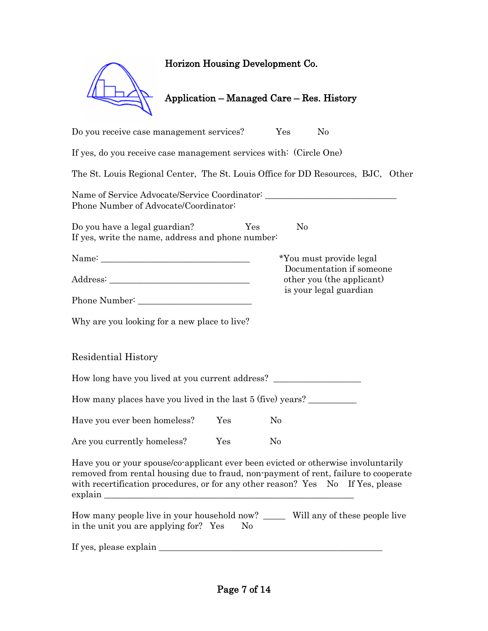|                                          | Horizon Housing Development Co.           |     |  |
|------------------------------------------|-------------------------------------------|-----|--|
|                                          | Application – Managed Care – Res. History |     |  |
| Do you receive case management services? |                                           | Yes |  |

If yes, do you receive case management services with: (Circle One) The St. Louis Regional Center, The St. Louis Office for DD Resources, BJC, Other Name of Service Advocate/Service Coordinator: \_\_\_\_\_\_\_\_\_\_\_\_\_\_\_\_\_\_\_\_\_\_\_\_\_\_\_\_\_\_\_\_\_\_ Phone Number of Advocate/Coordinator: Do you have a legal guardian? Yes No If yes, write the name, address and phone number: Name: \_\_\_\_\_\_\_\_\_\_\_\_\_\_\_\_\_\_\_\_\_\_\_\_\_\_\_\_\_\_\_\_\_\_ \*You must provide legal Documentation if someone Address: \_\_\_\_\_\_\_\_\_\_\_\_\_\_\_\_\_\_\_\_\_\_\_\_\_\_\_\_\_\_\_\_ other you (the applicant) is your legal guardian Phone Number: Why are you looking for a new place to live? Residential History How long have you lived at you current address? \_\_\_\_\_\_\_\_\_\_\_\_\_\_\_\_\_\_\_\_\_\_\_\_\_\_\_\_\_\_\_\_ How many places have you lived in the last 5 (five) years? \_\_\_\_\_\_\_\_\_\_\_\_\_\_\_\_\_\_\_\_\_ Have you ever been homeless? Yes No Are you currently homeless? Yes No Have you or your spouse/co-applicant ever been evicted or otherwise involuntarily removed from rental housing due to fraud, non-payment of rent, failure to cooperate with recertification procedures, or for any other reason? Yes No If Yes, please explain How many people live in your household now? \_\_\_\_\_ Will any of these people live in the unit you are applying for? Yes No

If yes, please explain \_\_\_\_\_\_\_\_\_\_\_\_\_\_\_\_\_\_\_\_\_\_\_\_\_\_\_\_\_\_\_\_\_\_\_\_\_\_\_\_\_\_\_\_\_\_\_\_\_\_\_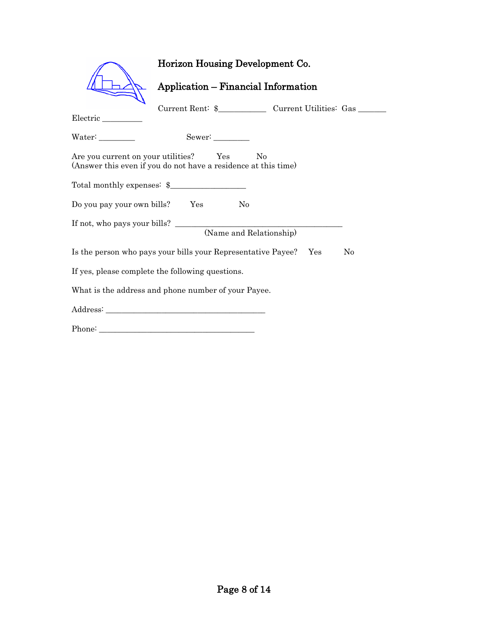|                                                                                                          | Horizon Housing Development Co.            |                |
|----------------------------------------------------------------------------------------------------------|--------------------------------------------|----------------|
|                                                                                                          | <b>Application - Financial Information</b> |                |
| Electric                                                                                                 |                                            |                |
| Water:                                                                                                   |                                            |                |
| Are you current on your utilities? Yes<br>(Answer this even if you do not have a residence at this time) | No                                         |                |
|                                                                                                          |                                            |                |
| Do you pay your own bills? Yes No                                                                        |                                            |                |
|                                                                                                          | (Name and Relationship)                    |                |
| Is the person who pays your bills your Representative Payee? Yes                                         |                                            | N <sub>0</sub> |
| If yes, please complete the following questions.                                                         |                                            |                |
| What is the address and phone number of your Payee.                                                      |                                            |                |
|                                                                                                          |                                            |                |
|                                                                                                          |                                            |                |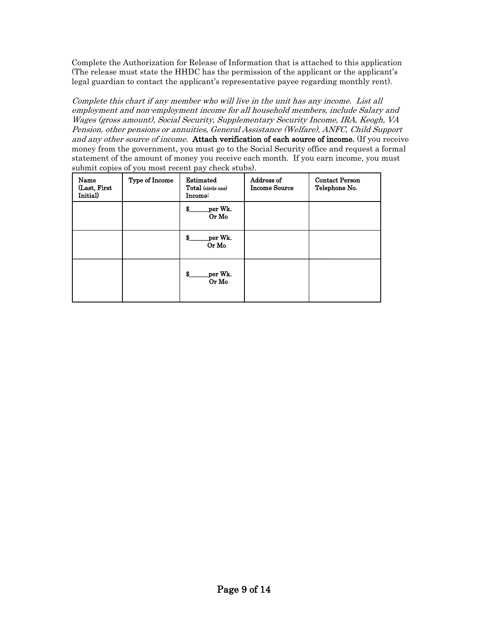Complete the Authorization for Release of Information that is attached to this application (The release must state the HHDC has the permission of the applicant or the applicant's legal guardian to contact the applicant's representative payee regarding monthly rent).

Complete this chart if any member who will live in the unit has any income. List all employment and non-employment income for all household members, include Salary and Wages (gross amount), Social Security, Supplementary Security Income, IRA, Keogh, VA Pension, other pensions or annuities, General Assistance (Welfare), ANFC, Child Support and any other source of income. Attach verification of each source of income. (If you receive money from the government, you must go to the Social Security office and request a formal statement of the amount of money you receive each month. If you earn income, you must submit copies of you most recent pay check stubs).

| Name<br>(Last, First<br>Initial) | Type of Income | Estimated<br>Total (circle one)<br>Income: | Address of<br><b>Income Source</b> | <b>Contact Person</b><br>Telephone No. |
|----------------------------------|----------------|--------------------------------------------|------------------------------------|----------------------------------------|
|                                  |                | per Wk.<br>\$<br>Or Mo                     |                                    |                                        |
|                                  |                | per Wk.<br>\$<br>Or Mo                     |                                    |                                        |
|                                  |                | per Wk.<br>S<br>Or Mo                      |                                    |                                        |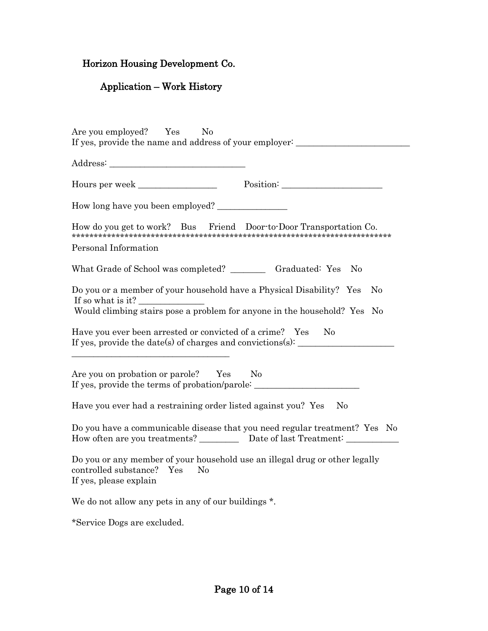### Application – Work History

| Are you employed? Yes<br>$\rm No$<br>If yes, provide the name and address of your employer:                                                                                                                                                                                                                                                                                                                                                                                             |
|-----------------------------------------------------------------------------------------------------------------------------------------------------------------------------------------------------------------------------------------------------------------------------------------------------------------------------------------------------------------------------------------------------------------------------------------------------------------------------------------|
|                                                                                                                                                                                                                                                                                                                                                                                                                                                                                         |
| Hours per week                                                                                                                                                                                                                                                                                                                                                                                                                                                                          |
| How long have you been employed?                                                                                                                                                                                                                                                                                                                                                                                                                                                        |
| How do you get to work? Bus Friend Door-to-Door Transportation Co.<br>Personal Information                                                                                                                                                                                                                                                                                                                                                                                              |
| What Grade of School was completed? __________ Graduated: Yes<br>- No                                                                                                                                                                                                                                                                                                                                                                                                                   |
| Do you or a member of your household have a Physical Disability? Yes<br>N <sub>0</sub><br>If so what is it? $\frac{1}{2}$ $\frac{1}{2}$ $\frac{1}{2}$ $\frac{1}{2}$ $\frac{1}{2}$ $\frac{1}{2}$ $\frac{1}{2}$ $\frac{1}{2}$ $\frac{1}{2}$ $\frac{1}{2}$ $\frac{1}{2}$ $\frac{1}{2}$ $\frac{1}{2}$ $\frac{1}{2}$ $\frac{1}{2}$ $\frac{1}{2}$ $\frac{1}{2}$ $\frac{1}{2}$ $\frac{1}{2}$ $\frac{1}{2}$ $\frac$<br>Would climbing stairs pose a problem for anyone in the household? Yes No |
| Have you ever been arrested or convicted of a crime? Yes<br>N <sub>0</sub><br>If yes, provide the date(s) of charges and convictions(s): $\frac{1}{\sqrt{2\pi}}$                                                                                                                                                                                                                                                                                                                        |
| Are you on probation or parole? Yes<br>N <sub>0</sub><br>If yes, provide the terms of probation/parole: _________________________________                                                                                                                                                                                                                                                                                                                                               |
| Have you ever had a restraining order listed against you? Yes<br>No                                                                                                                                                                                                                                                                                                                                                                                                                     |
| Do you have a communicable disease that you need regular treatment? Yes No                                                                                                                                                                                                                                                                                                                                                                                                              |
| Do you or any member of your household use an illegal drug or other legally<br>controlled substance? Yes<br>N <sub>0</sub><br>If yes, please explain                                                                                                                                                                                                                                                                                                                                    |
| We do not allow any pets in any of our buildings *.                                                                                                                                                                                                                                                                                                                                                                                                                                     |
| *Service Dogs are excluded.                                                                                                                                                                                                                                                                                                                                                                                                                                                             |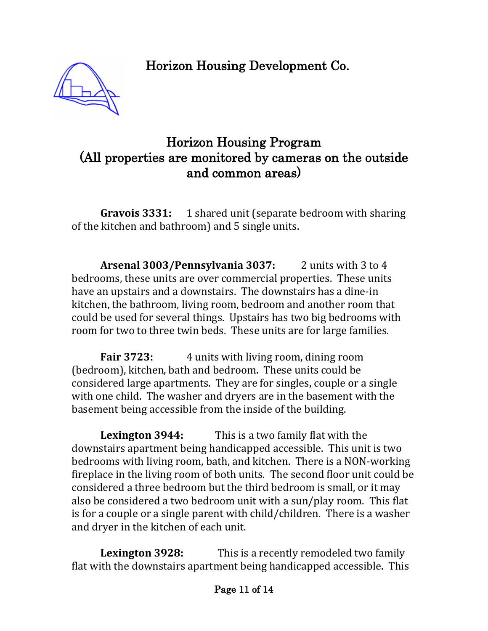

# Horizon Housing Program (All properties are monitored by cameras on the outside and common areas)

**Gravois 3331:** 1 shared unit (separate bedroom with sharing of the kitchen and bathroom) and 5 single units.

**Arsenal 3003/Pennsylvania 3037:** 2 units with 3 to 4 bedrooms, these units are over commercial properties. These units have an upstairs and a downstairs. The downstairs has a dine-in kitchen, the bathroom, living room, bedroom and another room that could be used for several things. Upstairs has two big bedrooms with room for two to three twin beds. These units are for large families.

**Fair 3723:** 4 units with living room, dining room (bedroom), kitchen, bath and bedroom. These units could be considered large apartments. They are for singles, couple or a single with one child. The washer and dryers are in the basement with the basement being accessible from the inside of the building.

**Lexington 3944:** This is a two family flat with the downstairs apartment being handicapped accessible. This unit is two bedrooms with living room, bath, and kitchen. There is a NON-working fireplace in the living room of both units. The second floor unit could be considered a three bedroom but the third bedroom is small, or it may also be considered a two bedroom unit with a sun/play room. This flat is for a couple or a single parent with child/children. There is a washer and dryer in the kitchen of each unit.

**Lexington 3928:** This is a recently remodeled two family flat with the downstairs apartment being handicapped accessible. This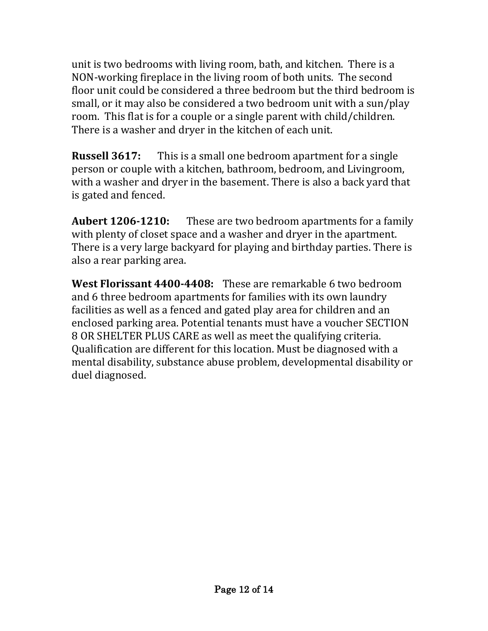unit is two bedrooms with living room, bath, and kitchen. There is a NON-working fireplace in the living room of both units. The second floor unit could be considered a three bedroom but the third bedroom is small, or it may also be considered a two bedroom unit with a sun/play room. This flat is for a couple or a single parent with child/children. There is a washer and dryer in the kitchen of each unit.

**Russell 3617:** This is a small one bedroom apartment for a single person or couple with a kitchen, bathroom, bedroom, and Livingroom, with a washer and dryer in the basement. There is also a back yard that is gated and fenced.

**Aubert 1206-1210:** These are two bedroom apartments for a family with plenty of closet space and a washer and dryer in the apartment. There is a very large backyard for playing and birthday parties. There is also a rear parking area.

**West Florissant 4400-4408:** These are remarkable 6 two bedroom and 6 three bedroom apartments for families with its own laundry facilities as well as a fenced and gated play area for children and an enclosed parking area. Potential tenants must have a voucher SECTION 8 OR SHELTER PLUS CARE as well as meet the qualifying criteria. Qualification are different for this location. Must be diagnosed with a mental disability, substance abuse problem, developmental disability or duel diagnosed.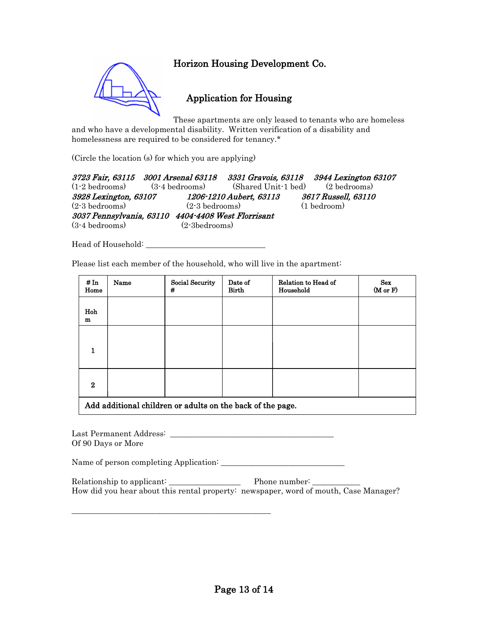#### Application for Housing

These apartments are only leased to tenants who are homeless and who have a developmental disability. Written verification of a disability and homelessness are required to be considered for tenancy.\*

(Circle the location (s) for which you are applying)

| 3723 Fair, 63115 3001 Arsenal 63118 3331 Gravois, 63118 3944 Lexington 63107 |                          |                         |                                  |  |
|------------------------------------------------------------------------------|--------------------------|-------------------------|----------------------------------|--|
| $(1-2 \text{ bedrooms})$ $(3-4 \text{ bedrooms})$                            |                          |                         | (Shared Unit-1 bed) (2 bedrooms) |  |
| 3928 Lexington, 63107                                                        |                          | 1206-1210 Aubert, 63113 | 3617 Russell, 63110              |  |
| $(2-3$ bedrooms)                                                             | $(2-3 \text{ bedrooms})$ |                         | (1 <sub>bedroom</sub> )          |  |
| 3037 Pennsylvania, 63110 4404-4408 West Florrisant                           |                          |                         |                                  |  |
| $(3-4 \text{ bedrooms})$                                                     | $(2-3bedrooms)$          |                         |                                  |  |

Head of Household: \_\_\_\_\_\_\_\_\_\_\_\_\_\_\_\_\_\_\_\_\_\_\_\_\_\_\_\_\_\_

Please list each member of the household, who will live in the apartment:

| # In<br>Home                                               | Name | Social Security<br># | Date of<br>Birth | Relation to Head of<br>Household | Sex<br>(M or F) |  |
|------------------------------------------------------------|------|----------------------|------------------|----------------------------------|-----------------|--|
| Hoh<br>$\mathbf m$                                         |      |                      |                  |                                  |                 |  |
| 1<br>$\mathbf{I}$                                          |      |                      |                  |                                  |                 |  |
| $\bf{2}$                                                   |      |                      |                  |                                  |                 |  |
| Add additional children or adults on the back of the page. |      |                      |                  |                                  |                 |  |

Last Permanent Address: \_\_\_\_\_\_\_\_\_\_\_\_\_\_\_\_\_\_\_\_\_\_\_\_\_\_\_\_\_\_\_\_\_\_\_\_\_\_\_\_\_ Of 90 Days or More

\_\_\_\_\_\_\_\_\_\_\_\_\_\_\_\_\_\_\_\_\_\_\_\_\_\_\_\_\_\_\_\_\_\_\_\_\_\_\_\_\_\_\_\_\_\_\_\_\_\_

Name of person completing Application: \_\_\_\_\_\_\_\_\_\_\_\_\_\_\_\_\_\_\_\_\_\_\_\_\_\_\_\_\_\_\_

Relationship to applicant: \_\_\_\_\_\_\_\_\_\_\_\_\_\_\_\_\_\_ Phone number: \_\_\_\_\_\_\_\_\_\_\_\_ How did you hear about this rental property: newspaper, word of mouth, Case Manager?